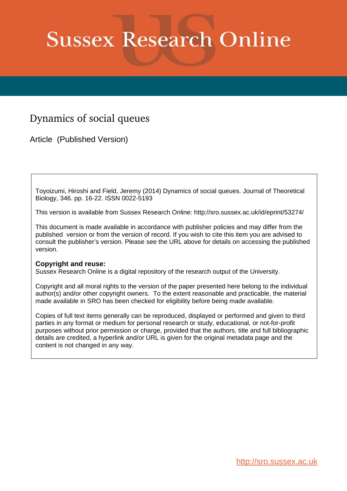# **Sussex Research Online**

## Dynamics of social queues

Article (Published Version)

Toyoizumi, Hiroshi and Field, Jeremy (2014) Dynamics of social queues. Journal of Theoretical Biology, 346. pp. 16-22. ISSN 0022-5193

This version is available from Sussex Research Online: http://sro.sussex.ac.uk/id/eprint/53274/

This document is made available in accordance with publisher policies and may differ from the published version or from the version of record. If you wish to cite this item you are advised to consult the publisher's version. Please see the URL above for details on accessing the published version.

### **Copyright and reuse:**

Sussex Research Online is a digital repository of the research output of the University.

Copyright and all moral rights to the version of the paper presented here belong to the individual author(s) and/or other copyright owners. To the extent reasonable and practicable, the material made available in SRO has been checked for eligibility before being made available.

Copies of full text items generally can be reproduced, displayed or performed and given to third parties in any format or medium for personal research or study, educational, or not-for-profit purposes without prior permission or charge, provided that the authors, title and full bibliographic details are credited, a hyperlink and/or URL is given for the original metadata page and the content is not changed in any way.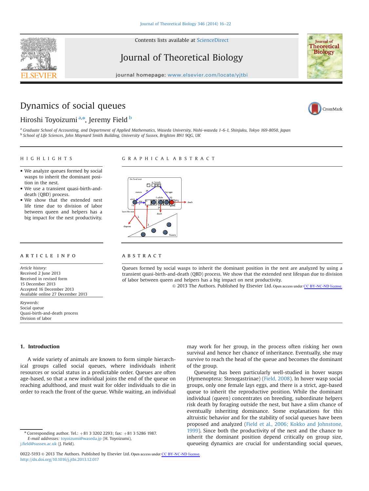Contents lists available at [ScienceDirect](www.sciencedirect.com/science/journal/00225193)

Journal of Theoretical Biology

journal homepage: <www.elsevier.com/locate/yjtbi>

## Dynamics of social queues



**Iournal** of **Theoretical Biology** 

#### Hiroshi Toyoizumi<sup>a,</sup>\*, Jeremy Field <sup>b</sup>

<sup>a</sup> Graduate School of Accounting, and Department of Applied Mathematics, Waseda University, Nishi-waseda 1-6-1, Shinjuku, Tokyo 169-8050, Japan <sup>b</sup> School of Life Sciences, John Maynard Smith Building, University of Sussex, Brighton BN1 9QG, UK

 $T$ - $\overline{O}$  $\overline{O}$ 

#### HIGHLIGHTS

#### GRAPHICAL ABSTRACT

 $\subset$ 

- We analyze queues formed by social wasps to inherit the dominant position in the nest.
- We use a transient quasi-birth-anddeath (QBD) process.
- We show that the extended nest life time due to division of labor between queen and helpers has a big impact for the nest productivity.

#### article info

Article history: Received 2 June 2013 Received in revised form 15 December 2013 Accepted 16 December 2013 Available online 27 December 2013

Keywords: Social queue Quasi-birth-and-death process Division of labor

#### **ABSTRACT**

Queues formed by social wasps to inherit the dominant position in the nest are analyzed by using a transient quasi-birth-and-death (QBD) process. We show that the extended nest lifespan due to division of labor between queen and helpers has a big impact on nest productivity.

& 2013 The Authors. Published by Elsevier Ltd. Open access under [CC BY-NC-ND license](http://creativecommons.org/licenses/by-nc-nd/3.0/).

#### 1. Introduction

A wide variety of animals are known to form simple hierarchical groups called social queues, where individuals inherit resources or social status in a predictable order. Queues are often age-based, so that a new individual joins the end of the queue on reaching adulthood, and must wait for older individuals to die in order to reach the front of the queue. While waiting, an individual

 $*$  Corresponding author. Tel.:  $+81$  3 3202 2293; fax:  $+81$  3 5286 1987. E-mail addresses: [toyoizumi@waseda.jp](mailto:toyoizumi@waseda.jp) (H. Toyoizumi), j.fi[eld@sussex.ac.uk](mailto:j.field@sussex.ac.uk) (J. Field).

may work for her group, in the process often risking her own survival and hence her chance of inheritance. Eventually, she may survive to reach the head of the queue and becomes the dominant of the group.

Queueing has been particularly well-studied in hover wasps (Hymenoptera: Stenogastrinae) [\(Field, 2008\)](#page-7-0). In hover wasp social groups, only one female lays eggs, and there is a strict, age-based queue to inherit the reproductive position. While the dominant individual (queen) concentrates on breeding, subordinate helpers risk death by foraging outside the nest, but have a slim chance of eventually inheriting dominance. Some explanations for this altruistic behavior and for the stability of social queues have been proposed and analyzed ([Field et al., 2006; Kokko and Johnstone,](#page-7-0) [1999](#page-7-0)). Since both the productivity of the nest and the chance to inherit the dominant position depend critically on group size, queueing dynamics are crucial for understanding social queues,



<sup>0022-5193 @ 2013</sup> The Authors. Published by Elsevier Ltd. Open access under [CC BY-NC-ND license](http://creativecommons.org/licenses/by-nc-nd/3.0/). <http://dx.doi.org/10.1016/j.jtbi.2013.12.017>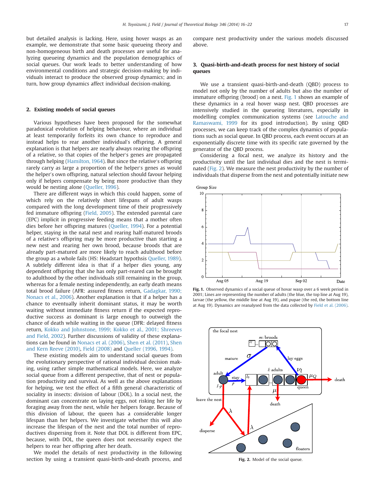but detailed analysis is lacking. Here, using hover wasps as an example, we demonstrate that some basic queueing theory and non-homogeneous birth and death processes are useful for analyzing queueing dynamics and the population demographics of social queues. Our work leads to better understanding of how environmental conditions and strategic decision-making by individuals interact to produce the observed group dynamics; and in turn, how group dynamics affect individual decision-making.

#### 2. Existing models of social queues

Various hypotheses have been proposed for the somewhat paradoxical evolution of helping behaviour, where an individual at least temporarily forfeits its own chance to reproduce and instead helps to rear another individual's offspring. A general explanation is that helpers are nearly always rearing the offspring of a relative, so that copies of the helper's genes are propagated through helping ([Hamilton, 1964\)](#page-7-0). But since the relative's offspring rarely carry as large a proportion of the helper's genes as would the helper's own offspring, natural selection should favour helping only if helpers compensate by being more productive than they would be nesting alone [\(Queller, 1996\)](#page-7-0).

There are different ways in which this could happen, some of which rely on the relatively short lifespans of adult wasps compared with the long development time of their progressively fed immature offspring ([Field, 2005](#page-7-0)). The extended parental care (EPC) implicit in progressive feeding means that a mother often dies before her offspring matures ([Queller, 1994\)](#page-7-0). For a potential helper, staying in the natal nest and rearing half-matured broods of a relative's offspring may be more productive than starting a new nest and rearing her own brood, because broods that are already part-matured are more likely to reach adulthood before the group as a whole fails (HS: Headstart hypothsis [Queller, 1989\)](#page-7-0). A subtlely different idea is that if a helper dies young, any dependent offspring that she has only part-reared can be brought to adulthood by the other individuals still remaining in the group, whereas for a female nesting independently, an early death means total brood failure (AFR: assured fitness return, [Gadagkar, 1990;](#page-7-0) [Nonacs et al., 2006\)](#page-7-0). Another explanation is that if a helper has a chance to eventually inherit dominant status, it may be worth waiting without immediate fitness return if the expected reproductive success as dominant is large enough to outweigh the chance of death while waiting in the queue (DFR: delayed fitness return, [Kokko and Johnstone, 1999; Kokko et al., 2001; Shreeves](#page-7-0) [and Field, 2002\)](#page-7-0). Further discussions of validity of these explanations can be found in [Nonacs et al. \(2006\),](#page-7-0) [Shen et al. \(2011\),](#page-7-0) [Shen](#page-7-0) [and Kern Reeve \(2010\)](#page-7-0), [Field \(2008\)](#page-7-0) and [Queller \(1996, 1994\)](#page-7-0).

These existing models aim to understand social queues from the evolutionary perspective of rational individual decision making, using rather simple mathematical models. Here, we analyze social queue from a different perspective, that of nest or population productivity and survival. As well as the above explanations for helping, we test the effect of a fifth general characteristic of sociality in insects: division of labour (DOL). In a social nest, the dominant can concentrate on laying eggs, not risking her life by foraging away from the nest, while her helpers forage. Because of this division of labour, the queen has a considerable longer lifespan than her helpers. We investigate whether this will also increase the lifespan of the nest and the total number of reproductives dispersing from it. Note that DOL is different from EPC, because, with DOL, the queen does not necessarily expect the helpers to rear her offspring after her death.

We model the details of nest productivity in the following section by using a transient quasi-birth-and-death process, and compare nest productivity under the various models discussed above.

#### 3. Quasi-birth-and-death process for nest history of social queues

We use a transient quasi-birth-and-death (QBD) process to model not only by the number of adults but also the number of immature offspring (brood) on a nest. Fig. 1 shows an example of these dynamics in a real hover wasp nest. QBD processes are intensively studied in the queueing literatures, especially in modelling complex communication systems (see [Latouche and](#page-7-0) [Ramaswami, 1999](#page-7-0) for its good introduction). By using QBD processes, we can keep track of the complex dynamics of populations such as social queue. In QBD process, each event occurs at an exponentially discrete time with its specific rate governed by the generator of the QBD process.

Considering a focal nest, we analyze its history and the productivity until the last individual dies and the nest is terminated (Fig. 2). We measure the nest productivity by the number of individuals that disperse from the nest and potentially initiate new



Fig. 1. Observed dynamics of a social queue of hovar wasp over a 6 week period in 2001; Lines are representing the number of adults (the blue, the top line at Aug 19), larvae (the yellow, the middle line at Aug 19), and pupae (the red, the bottom line at Aug 19). Dynamics are reanalysed from the data collected by [Field et al. \(2006\)](#page-7-0).



Fig. 2. Model of the social queue.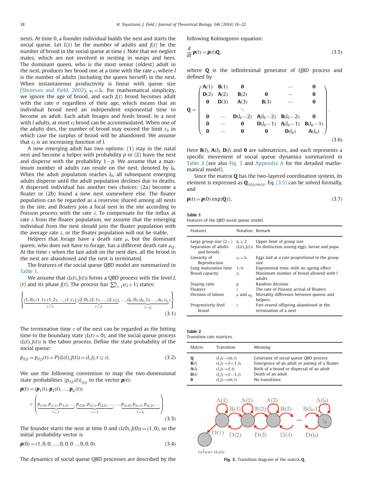nests. At time 0, a founder individual builds the nest and starts the social queue. Let  $L(t)$  be the number of adults and  $J(t)$  be the number of brood in the social queue at time t. Note that we neglect males, which are not involved in nesting in wasps and bees. The dominant queen, who is the most senior (oldest) adult in the nest, produces her brood one at a time with the rate  $\nu_l$  where l is the number of adults (including the queen herself) in the nest. When instantaneous productivity is linear with queue size ([Shreeves and Field, 2002](#page-7-0)),  $v_l = l\nu$ . For mathematical simplicity, we ignore the age of brood, and each  $I(t)$  brood becomes adult with the rate  $\sigma$  regardless of their age, which means that an individual brood need an independent exponential time to become an adult. Each adult forages and feeds brood. In a nest with  $l$  adults, at most  $c_l$  brood can be accommodated. When one of the adults dies, the number of brood may exceed the limit  $c<sub>l</sub>$ , in which case the surplus of brood will be abandoned. We assume that  $c_i$  is an increasing function of l.

A new emerging adult has two options: (1) stay in the natal nest and become a helper with probability  $p$  or  $(2)$  leave the nest and disperse with the probability  $1-p$ . We assume that a maximum number of adults can reside on the nest, denoted by  $l_0$ . When the adult population reaches  $l_0$ , all subsequent emerging adults disperse until the adult population declines due to deaths. A dispersed individual has another two choices: (2a) become a floater or (2b) found a new nest somewhere else. The floater population can be regarded as a reservoir shared among all nests in the site, and floaters join a focal nest in the site according to Poisson process with the rate  $\lambda$ . To compensate for the influx at rate  $\lambda$  from the floater population, we assume that the emerging individual from the nest should join the floater population with the average rate  $\lambda$ , or the floater population will not be stable.

Helpers that forage have a death rate  $\mu$ , but the dominant queen, who does not have to forage, has a different death rate  $\mu_0$ . At the time  $\tau$  when the last adult on the nest dies, all the brood in the nest are abandoned and the nest is terminated.

The features of the social queue QBD model are summarized in Table 1.

We assume that  $(L(t), J(t))$  forms a QBD process with the level L (*t*) and its phase *J*(*t*). The process has  $\sum_{l=1}^{l_0} (c_l + 1)$  states:

$$
\left\{ \underbrace{(1,0),(1,1),(1,2),...,(1,c_1)}_{l=1}, \underbrace{(2,0),(2,1),...,(2,c_2)}_{l=2}, \dots, \underbrace{(l_0,0),(l_0,1),...,(l_0,c_{l_0})}_{l=l_0} \right\}.
$$
\n(3.1)

The termination time  $\tau$  of the nest can be regarded as the hitting time to the boundary state  ${L(t) = 0}$ , and the social queue process  $(L(t), J(t))$  is the taboo process. Define the state probability of the social queue:

$$
p_{(l,j)} = p_{(l,j)}(t) = P\{(L(t), J(t)) = (l,j), t \le \tau\}.
$$
\n(3.2)

We use the following convention to map the two-dimensional state probabilities  $\{p_{(l,j)}(t)\}_{(l,j)}$  to the vector  $\mathbf{p}(t)$ :<br> $\mathbf{p}(t) = (\mathbf{p}_i(t), \mathbf{p}_j(t), \dots, \mathbf{p}_j(t))$ 

$$
\mathbf{p}(t) = (\mathbf{p}_1(t), \mathbf{p}_2(t), ..., \mathbf{p}_{l_0}(t))
$$
\n
$$
= \left( \underbrace{p_{(1,0)}, p_{(1,1)}, p_{(1,2)}, ..., p_{(2,0)}, p_{(2,1)}, p_{(2,2)}, ..., ..., p_{(l_0,0)}, p_{(l_0,1)}, p_{(l_0,2)}, ...}_{l=1_0} \right).
$$
\n(3.3)

The founder starts the nest at time 0 and  $(L(0), J(0)) = (1, 0)$ , so the initial probability vector is

$$
\boldsymbol{p}(0) = (1, 0, 0, \dots, 0, 0, 0, \dots, 0, 0, 0). \tag{3.4}
$$

The dynamics of social queue QBD processes are described by the

following Kolmogorov equation:

$$
\frac{d}{dt}\mathbf{p}(t) = \mathbf{p}(t)\mathbf{Q},\tag{3.5}
$$

where **Q** is the infinitesimal generator of QBD process and defined by

$$
Q = \begin{pmatrix} A(1) & B(1) & 0 & \cdots & 0 \\ D(2) & A(2) & B(2) & 0 & \cdots & 0 \\ 0 & D(3) & A(3) & B(3) & \cdots & 0 \\ \vdots & \vdots & \ddots & \vdots & \vdots & \vdots \\ 0 & \cdots & D(l_0 - 2) & A(l_0 - 2) & B(l_0 - 2) & 0 \\ 0 & \cdots & 0 & D(l_0 - 1) & A(l_0 - 1) & B(l_0 - 1) \\ 0 & \cdots & 0 & 0 & D(l_0) & A(l_0) \end{pmatrix}.
$$
(3.6)

Here  $B(t)$ ,  $A(t)$ ,  $D(t)$  and 0 are submatrices, and each represents a specific movement of social queue dynamics summarized in Table 2 (see also Fig. 3 and [Appendix A](#page-6-0) for the detailed mathematical model).

Since the matrix  $Q$  has the two-layered coordination system, its element is expressed as  $\mathbf{Q}_{\{(l,j),(m,i)\}}$ . Eq. (3.5) can be solved formally, and

$$
\mathbf{p}(t) = \mathbf{p}(0) \exp\{\mathbf{Q}t\},\tag{3.7}
$$

Table 1

Features of the QBD social queue model.

| Features                           | Notation Remark   |                                                                 |
|------------------------------------|-------------------|-----------------------------------------------------------------|
| Large group size $(2+)$            | $l_0 \geq 2$      | Upper limit of group size                                       |
| Separation of adults<br>and broods | (L(t), J(t))      | No distinction among eggs, larvae and pupa                      |
| Linearity of<br>Reproduction       | $\nu_1 = l\nu$    | Eggs laid at a rate proportional to the group<br>size           |
| Long maturation time               | $1/\sigma$        | Exponential time, with no ageing effect                         |
| Brood capacity                     | C <sub>I</sub>    | Maximum number of brood allowed with l<br>adults                |
| Staying ratio                      | р                 | Random decision                                                 |
| Floaters                           | λ                 | The rate of Poisson arrival of floaters                         |
| Division of labour                 | $\mu$ and $\mu_0$ | Mortality difference between queens and                         |
|                                    |                   | helpers                                                         |
| Progressively feed<br>brood        | $\tau$            | Part-reared offspring abandoned at the<br>termination of a nest |

| Table 2                   |  |
|---------------------------|--|
| Transition rate matrices. |  |

| Matrix | Transition                    | Meaning                                       |
|--------|-------------------------------|-----------------------------------------------|
| Q      | $(l, j) \rightarrow (m, i)$   | Generator of social queue OBD process         |
| B(l)   | $(l, j) \rightarrow (l+1, i)$ | Emergence of an adult or joining of a floater |
| A(l)   | $(l, j) \rightarrow (l, i)$   | Birth of a brood or dispersal of an adult     |
| D(l)   | $(l, j) \rightarrow (l-1, i)$ | Death of an adult                             |
| 0      | $(l, j) \rightarrow (m, i)$   | No transitions                                |



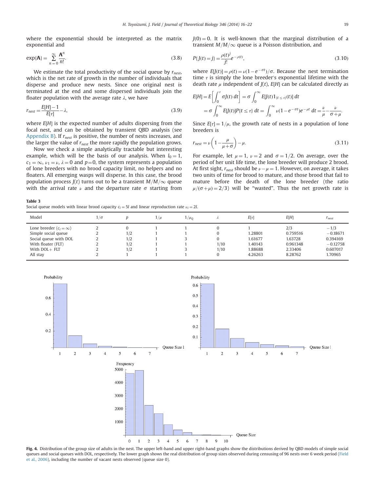<span id="page-4-0"></span>where the exponential should be interpreted as the matrix exponential and

$$
\exp(\mathbf{A}) = \sum_{n=0}^{\infty} \frac{\mathbf{A}^n}{n!}.
$$
 (3.8)

We estimate the total productivity of the social queue by  $r_{\text{next}}$ , which is the net rate of growth in the number of individuals that disperse and produce new nests. Since one original nest is terminated at the end and some dispersed individuals join the floater population with the average rate  $\lambda$ , we have

$$
r_{nest} = \frac{E[H] - 1}{E[\tau]} - \lambda,\tag{3.9}
$$

where  $E[H]$  is the expected number of adults dispersing from the focal nest, and can be obtained by transient QBD analysis (see [Appendix B](#page-6-0)). If  $r_{nest}$  is positive, the number of nests increases, and the larger the value of  $r_{nest}$  the more rapidly the population grows.

Now we check a simple analytically tractable but interesting example, which will be the basis of our analysis. When  $l_0 = 1$ ,  $c_1 = \infty$ ,  $\nu_1 = \nu$ ,  $\lambda = 0$  and  $p = 0$ , the system represents a population of lone breeders with no brood capacity limit, no helpers and no floaters. All emerging wasps will disperse. In this case, the brood population process  $J(t)$  turns out to be a transient  $M/M/\infty$  queue with the arrival rate  $\nu$  and the departure rate  $\sigma$  starting from

Table 3

Social queue models with linear brood capacity  $c_l = 5l$  and linear reproduction rate  $\nu_l = 2l$ .

 $J(0) = 0$ . It is well-known that the marginal distribution of a transient  $M/M/\infty$  queue is a Poisson distribution, and

$$
P\{J(t) = j\} = \frac{\rho(t)^{j}}{j!}e^{-\rho(t)},
$$
\n(3.10)

where  $E[J(t)] = \rho(t) = \nu(1 - e^{-\sigma t})/\sigma$ . Because the nest termination<br>time  $\sigma$  is simply the lone breeder's exponential lifetime with the time  $\tau$  is simply the lone breeder's exponential lifetime with the death rate  $\mu$  independent of  $J(t)$ ,  $E[H]$  can be calculated directly as

$$
E[H] = E\left[\int_0^{\tau} \sigma J(t) dt\right] = \sigma \int_0^{\infty} E[J(t)1_{\{t \le \tau\}}(t)] dt
$$
  
=  $\sigma \int_0^{\infty} E[J(t)]P\{t \le \tau\} dt = \int_0^{\infty} \nu (1 - e^{-\sigma t})e^{-\mu t} dt = \frac{\nu}{\mu} - \frac{\nu}{\sigma + \mu}.$ 

Since  $E[\tau] = 1/\mu$ , the growth rate of nests in a population of lone breeders is

$$
r_{\text{nest}} = \nu \left( 1 - \frac{\mu}{\mu + \sigma} \right) - \mu. \tag{3.11}
$$

For example, let  $\mu = 1$ ,  $\nu = 2$  and  $\sigma = 1/2$ . On average, over the period of her unit life time, the lone breeder will produce 2 brood. At first sight,  $r_{\text{next}}$  should be  $\nu-\mu=1$ . However, on average, it takes two units of time for brood to mature, and those brood that fail to mature before the death of the lone breeder (the ratio  $\mu/(\sigma+\mu)=2/3$ ) will be "wasted". Thus the net growth rate is

| Model                         | $1/\sigma$ |     | $1/\mu$ | $1/\mu_0$ |      | $E[\tau]$ | E[H]     | $r_{nest}$ |
|-------------------------------|------------|-----|---------|-----------|------|-----------|----------|------------|
| Lone breeder $(c_i = \infty)$ |            |     |         |           |      |           | 2/3      | $-1/3$     |
| Simple social queue           |            | 1/2 |         |           |      | 1.28801   | 0.759516 | $-0.18671$ |
| Social queue with DOL         |            | 1/2 |         |           |      | 1.61677   | 1.63728  | 0.394169   |
| With floater (FLT)            | ∠          | 1/2 |         |           | 1/10 | 1.40143   | 0.961348 | $-0.12758$ |
| With $DOL + FLT$              |            | 1/2 |         |           | 1/10 | 1.88688   | 2.33406  | 0.607017   |
| All stay                      |            |     |         |           |      | 4.26263   | 8.28762  | 1.70965    |



Fig. 4. Distribution of the group size of adults in the nest. The upper left-hand and upper right-hand graphs show the distributions derived by OBD models of simple social queues and social queues with DOL, respectively. The lower graph shows the real distribution of group sizes observed during censusing of 96 nests over 6 week period ([Field](#page-7-0) [et al., 2006\)](#page-7-0), including the number of vacant nests observed (queue size 0).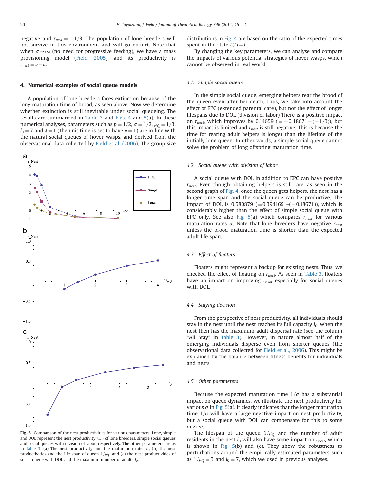negative and  $r_{\text{nest}} = -1/3$ . The population of lone breeders will not survive in this environment and will go extinct. Note that when  $\sigma \rightarrow \infty$  (no need for progressive feeding), we have a mass provisioning model [\(Field, 2005\)](#page-7-0), and its productivity is  $r_{\text{nest}} = \nu - \mu.$ 

#### 4. Numerical examples of social queue models

A population of lone breeders faces extinction because of the long maturation time of brood, as seen above. Now we determine whether extinction is still inevitable under social queueing. The results are summarized in [Table 3](#page-4-0) and [Figs. 4](#page-4-0) and 5(a). In these numerical analyses, parameters such as  $p = 1/2$ ,  $\sigma = 1/2$ ,  $\mu_0 = 1/3$ ,  $l_0 = 7$  and  $\lambda = 1$  (the unit time is set to have  $\mu = 1$ ) are in line with the natural social queues of hover wasps, and derived from the observational data collected by [Field et al. \(2006\).](#page-7-0) The group size



Fig. 5. Comparison of the nest productivities for various parameters. Lone, simple and DOL represent the nest productivity  $r_{nest}$  of lone breeders, simple social queues and social queues with division of labor, respectively. The other parameters are as in [Table 3](#page-4-0). (a) The nest productivity and the maturation rates  $\sigma$ . (b) the nest productivities and the life span of queen  $1/\mu_Q$ , and (c) the nest productivities of social queue with DOL and the maximum number of adults  $l_0$ .

distributions in [Fig. 4](#page-4-0) are based on the ratio of the expected times spent in the state  $L(t) = l$ .

By changing the key parameters, we can analyse and compare the impacts of various potential strategies of hover wasps, which cannot be observed in real world.

#### 4.1. Simple social queue

In the simple social queue, emerging helpers rear the brood of the queen even after her death. Thus, we take into account the effect of EPC (extended parental care), but not the effect of longer lifespans due to DOL (division of labor) There is a positive impact on  $r_{nest}$ , which improves by 0.14659 (= -0.18671 - (-1/3)), but this impact is limited and  $r_{nest}$  is still negative. This is because the time for rearing adult helpers is longer than the lifetime of the initially lone queen. In other words, a simple social queue cannot solve the problem of long offspring maturation time.

#### 4.2. Social queue with division of labor

A social queue with DOL in addition to EPC can have positive  $r_{\text{nest}}$ . Even though obtaining helpers is still rare, as seen in the second graph of [Fig. 4,](#page-4-0) once the queen gets helpers, the nest has a longer time span and the social queue can be productive. The impact of DOL is 0.580879 ( $=$ 0.394169  $-$ ( $-$ 0.18671)), which is considerably higher than the effect of simple social queue with EPC only. See also Fig. 5(a) which compares  $r_{nest}$  for various maturation rates  $\sigma$ . Note that lone breeders have negative  $r_{nest}$ unless the brood maturation time is shorter than the expected adult life span.

#### 4.3. Effect of floaters

Floaters might represent a backup for existing nests. Thus, we checked the effect of floating on  $r_{nest}$ . As seen in [Table 3,](#page-4-0) floaters have an impact on improving  $r_{nest}$  especially for social queues with DOL.

#### 4.4. Staying decision

From the perspective of nest productivity, all individuals should stay in the nest until the nest reaches its full capacity  $l_0$ , when the nest then has the maximum adult dispersal rate (see the column "All Stay" in [Table 3](#page-4-0)). However, in nature almost half of the emerging individuals disperse even from shorter queues (the observational data collected for [Field et al., 2006](#page-7-0)). This might be explained by the balance between fitness benefits for individuals and nests.

#### 4.5. Other parameters

Because the expected maturation time  $1/\sigma$  has a substantial impact on queue dynamics, we illustrate the nest productivity for various  $\sigma$  in Fig. 5(a). It clearly indicates that the longer maturation time  $1/\sigma$  will have a large negative impact on nest productivity, but a social queue with DOL can compensate for this to some degree.

The lifespan of the queen  $1/\mu<sub>0</sub>$  and the number of adult residents in the nest  $l_0$  will also have some impact on  $r_{nest}$ , which is shown in Fig.  $5(b)$  and (c). They show the robustness to perturbations around the empirically estimated parameters such as  $1/\mu_0 = 3$  and  $l_0 = 7$ , which we used in previous analyses.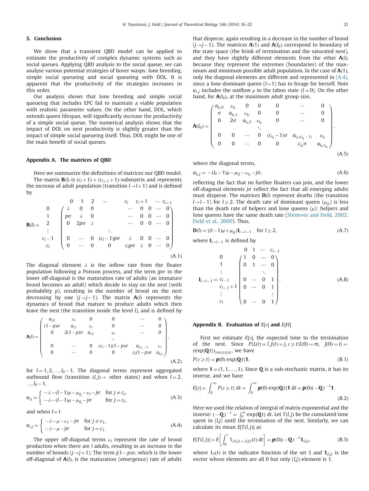#### <span id="page-6-0"></span>5. Conclusion

We show that a transient QBD model can be applied to estimate the productivity of complex dynamic systems such as social queues. Applying QBD analysis to the social queue, we can analyse various potential strategies of hover wasps: lone breeding, simple social queueing and social queueing with DOL. It is apparent that the productivity of the strategies increases in this order.

Our analysis shows that lone breeding and simple social queueing that includes EPC fail to maintain a viable population with realistic parameter values. On the other hand, DOL, which extends queen lifespan, will significantly increase the productivity of a simple social queue. The numerical analysis shows that the impact of DOL on nest productivity is slightly greater than the impact of simple social queueing itself. Thus, DOL might be one of the main benefit of social queues.

#### Appendix A. The matrices of QBD

Here we summarize the definitions of matrices our QBD model. The matrix **B**(*l*) is  $(c_l + 1) \times (c_{l+1} + 1)$ -submatrix and represents the increase of adult population (transition  $l \rightarrow l+1$ ) and is defined by

$$
\mathbf{B}(l) = \begin{bmatrix}\n0 & 1 & 2 & \cdots & c_l & c_l + 1 & \cdots & c_{l+1} \\
0 & \lambda & 0 & 0 & & \cdots & 0 & 0 & \cdots & 0 \\
1 & p\sigma & \lambda & 0 & & \cdots & 0 & 0 & \cdots & 0 \\
0 & 2p\sigma & \lambda & & & \cdots & 0 & 0 & \cdots & 0 \\
\vdots & & & & & \ddots & & & \\
c_l & 0 & \cdots & 0 & (c_l - 1)p\sigma & \lambda & 0 & 0 & \cdots & 0 \\
0 & \cdots & 0 & 0 & & c_l p\sigma & \lambda & 0 & \cdots & 0\n\end{bmatrix}
$$
\n(A.1)

The diagonal element  $\lambda$  is the inflow rate from the floater population following a Poisson process, and the term  $jp\sigma$  in the lower off-diagonal is the maturation rate of adults (an immature brood becomes an adult) which decide to stay on the nest (with probability p), resulting in the number of brood on the nest decreasing by one  $(j \rightarrow j-1)$ . The matrix  $A(l)$  represents the dynamics of brood that mature to produce adults which then leave the nest (the transition inside the level l), and is defined by

$$
\mathbf{A}(l) = \begin{pmatrix} a_{l,0} & \nu_l & 0 & 0 & \cdots & 0 \\ (1-p)\sigma & a_{l,1} & \nu_l & 0 & \cdots & 0 \\ 0 & 2(1-p)\sigma & a_{l,2} & \nu_l & \cdots & 0 \\ 0 & \cdots & 0 & (c_l-1)(1-p)\sigma & a_{l,c_l-1} & \nu_l \\ 0 & \cdots & 0 & 0 & c_l(1-p)\sigma & a_{l,c_l} \end{pmatrix},
$$
(A.2)

for  $l = 1, 2, ..., l_0 - 1$ . The diagonal terms represent aggregated outbound flow (transition  $(l, j) \rightarrow$  other states) and when  $l = 2$ ,  $..., l_0 - 1,$ 

$$
a_{l,j} = \begin{cases} -\lambda - (l-1)\mu - \mu_Q - \nu_l - j\sigma & \text{for } j \neq c_l, \\ -\lambda - (l-1)\mu - \mu_Q - j\sigma & \text{for } j = c_l, \end{cases}
$$
(A.3)

and when  $l=1$ 

$$
a_{1,j} = \begin{cases} -\lambda - \mu - \nu_1 - j\sigma & \text{for } j \neq c_1, \\ -\lambda - \mu - j\sigma & \text{for } j = c_1. \end{cases}
$$
 (A.4)

The upper off-diagonal terms  $\nu_l$  represent the rate of brood production when there are l adults, resulting in an increase in the number of broods  $(j \rightarrow j+1)$ . The term  $j(1-p)\sigma$ , which is the lower off-diagonal of  $A(l)$ , is the maturation (emergence) rate of adults that disperse, again resulting in a decrease in the number of brood  $(j\rightarrow j-1)$ . The matrices  $A(1)$  and  $A(l_0)$  correspond to boundary of the state space (the brink of termination and the saturated nest), and they have slightly different elements from the other  $A(l)$ , because they represent the extremes (boundaries) of the maximum and minimum possible adult population. In the case of  $A(1)$ , only the diagonal elements are different and represented in (A.4), since a lone dominant queen  $(l=1)$  has to forage for herself. Note  $a_{1,i}$  includes the outflow  $\mu$  to the taboo state {*l* = 0}. On the other hand, for  $A(l_0)$ , at the maximum adult group size,

$$
\mathbf{A}(l_0) = \begin{pmatrix} a_{l_0,0} & \nu_{l_0} & 0 & 0 & 0 & \cdots & 0 \\ \sigma & a_{l_0,1} & \nu_{l_0} & 0 & 0 & \cdots & 0 \\ 0 & 2\sigma & a_{l_0,2} & \nu_{l_0} & 0 & \cdots & 0 \\ & & & \ddots & & & \\ 0 & 0 & \cdots & 0 & (c_{l_0}-1)\sigma & a_{l_0,(c_{l_0}-1)} & \nu_{l_0} \\ 0 & 0 & \cdots & 0 & 0 & c_{l_0}\sigma & a_{l_0,c_{l_0}} \end{pmatrix},
$$
\n(A.5)

where the diagonal terms,

$$
a_{l_0,j} = -(l_0 - 1)\mu - \mu_Q - \nu_{l_0} - j\sigma,
$$
\n(A.6)

reflecting the fact that no further floaters can join, and the lower off-diagonal elements j $\sigma$  reflect the fact that all emerging adults must disperse. The matrices  $D(l)$  represent deaths (the transition  $l\rightarrow l-1$ ) for  $l\geq 2$ . The death rate of dominant queen  $(\mu_0)$  is less than the death rate of helpers and lone queens  $(\mu)$ : helpers and lone queens have the same death rate ([Shreeves and Field, 2002;](#page-7-0) [Field et al., 2000](#page-7-0)). Thus,

$$
\mathbf{D}(l) = \{ (l-1)\mu + \mu_{Q} \} \mathbf{I}_{l \to l-1} \quad \text{for } l \ge 2,
$$
\n(A.7)

where  $I_{l\rightarrow l-1}$  is defined by

$$
\mathbf{I}_{l \to l-1} = c_{l-1} \qquad \begin{pmatrix} 0 & 1 & \cdots & c_{l-1} \\ 1 & 0 & \cdots & 0 \\ 0 & 1 & \cdots & 0 \\ \vdots & & \ddots & \vdots \\ 0 & \cdots & 0 & 1 \\ c_{l} & & 0 & \cdots & 0 \end{pmatrix} . \tag{A.8}
$$

#### Appendix B. Evaluation of  $E[\tau]$  and  $E[H]$

First we estimate  $E[\tau]$ , the expected time to the termination of the nest. Since  $P{L(t) = l, J(t) = j, \tau \ge t | L(0) = m, J(0) = i}$  $(\exp{\lbrace \mathbf{Q}t \rbrace})_{\{(m,i),(l,j)\}}$ , we have

$$
P\{\tau \ge t\} = \mathbf{p}(0) \exp\{\mathbf{Q}t\} \mathbf{1},\tag{B.1}
$$

where  $1 = (1, 1, ..., 1)$ . Since **Q** is a sub-stochastic matrix, it has its inverse, and we have

$$
E[\tau] = \int_0^\infty P\{\tau \ge t\} dt = \int_0^\infty \boldsymbol{p}(0) \exp\{\mathbf{Q}t\} \mathbf{1} dt = \boldsymbol{p}(0) (-\mathbf{Q})^{-1} \mathbf{1}.
$$
\n(B.2)

Here we used the relation of integral of matrix exponential and the inverse:  $(-\mathbf{Q})^{-1} = \int_0^\infty \exp\{\mathbf{Q}t\} dt$ . Let  $T(l,j)$  be the cumulated time<br>spent in  $(l,i)$  until the termination of the nest. Similarly we can spent in  $(l<sub>j</sub>)$  until the termination of the nest. Similarly, we can calculate its mean  $E[T(l, j)]$  as

$$
E[T(l,j)] = E\left[\int_0^{\tau} 1_{\{(L,j) = (l,j)\}}(t) dt\right] = \mathbf{p}(0)(-\mathbf{Q})^{-1} \mathbf{1}_{(l,j)},
$$
(B.3)

where  $1<sub>S</sub>(t)$  is the indicator function of the set S and  $\mathbf{1}_{(l,j)}$  is the vector whose elements are all 0 but only  $(l,j)$ -element is 1.